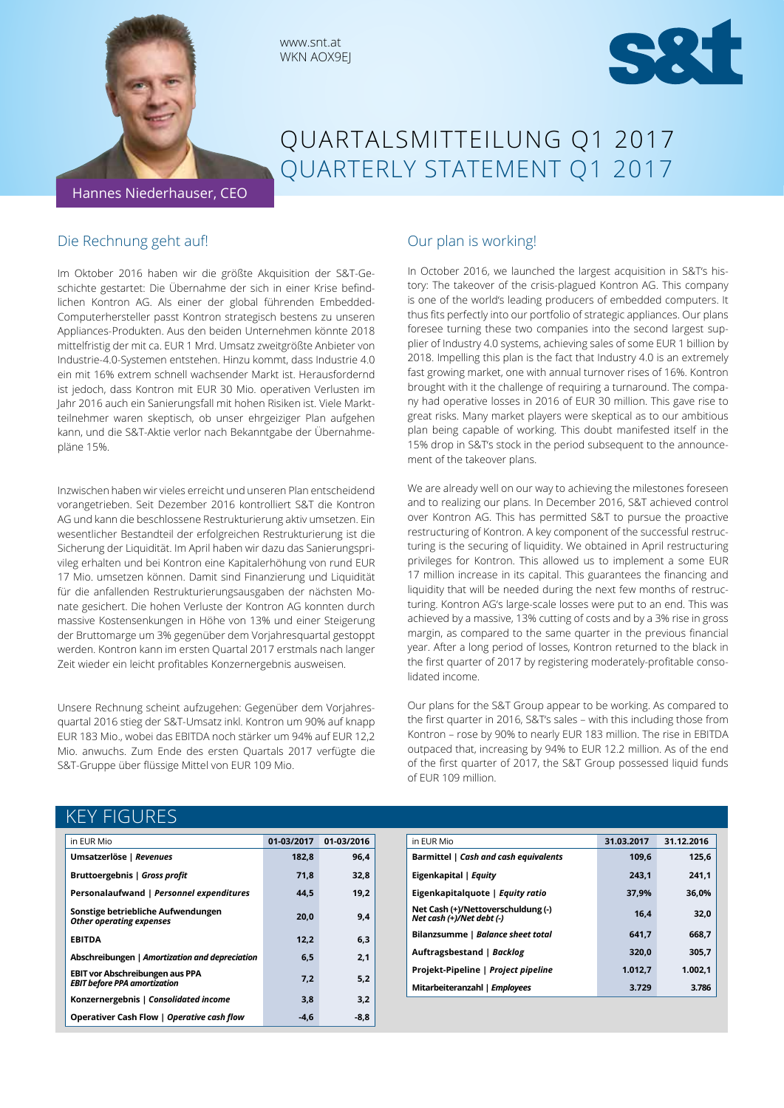

# QUARTALSMITTEILUNG Q1 2017 QUARTERLY STATEMENT Q1 2017

#### Die Rechnung geht auf!

Im Oktober 2016 haben wir die größte Akquisition der S&T-Geschichte gestartet: Die Übernahme der sich in einer Krise befindlichen Kontron AG. Als einer der global führenden Embedded-Computerhersteller passt Kontron strategisch bestens zu unseren Appliances-Produkten. Aus den beiden Unternehmen könnte 2018 mittelfristig der mit ca. EUR 1 Mrd. Umsatz zweitgrößte Anbieter von Industrie-4.0-Systemen entstehen. Hinzu kommt, dass Industrie 4.0 ein mit 16% extrem schnell wachsender Markt ist. Herausfordernd ist jedoch, dass Kontron mit EUR 30 Mio. operativen Verlusten im Jahr 2016 auch ein Sanierungsfall mit hohen Risiken ist. Viele Marktteilnehmer waren skeptisch, ob unser ehrgeiziger Plan aufgehen kann, und die S&T-Aktie verlor nach Bekanntgabe der Übernahmepläne 15%.

www.snt.at WKN AOX9EJ

Inzwischen haben wir vieles erreicht und unseren Plan entscheidend vorangetrieben. Seit Dezember 2016 kontrolliert S&T die Kontron AG und kann die beschlossene Restrukturierung aktiv umsetzen. Ein wesentlicher Bestandteil der erfolgreichen Restrukturierung ist die Sicherung der Liquidität. Im April haben wir dazu das Sanierungsprivileg erhalten und bei Kontron eine Kapitalerhöhung von rund EUR 17 Mio. umsetzen können. Damit sind Finanzierung und Liquidität für die anfallenden Restrukturierungsausgaben der nächsten Monate gesichert. Die hohen Verluste der Kontron AG konnten durch massive Kostensenkungen in Höhe von 13% und einer Steigerung der Bruttomarge um 3% gegenüber dem Vorjahresquartal gestoppt werden. Kontron kann im ersten Quartal 2017 erstmals nach langer Zeit wieder ein leicht profitables Konzernergebnis ausweisen.

Unsere Rechnung scheint aufzugehen: Gegenüber dem Vorjahresquartal 2016 stieg der S&T-Umsatz inkl. Kontron um 90% auf knapp EUR 183 Mio., wobei das EBITDA noch stärker um 94% auf EUR 12,2 Mio. anwuchs. Zum Ende des ersten Quartals 2017 verfügte die S&T-Gruppe über flüssige Mittel von EUR 109 Mio.

#### Our plan is working!

In October 2016, we launched the largest acquisition in S&T's history: The takeover of the crisis-plagued Kontron AG. This company is one of the world's leading producers of embedded computers. It thus fits perfectly into our portfolio of strategic appliances. Our plans foresee turning these two companies into the second largest supplier of Industry 4.0 systems, achieving sales of some EUR 1 billion by 2018. Impelling this plan is the fact that Industry 4.0 is an extremely fast growing market, one with annual turnover rises of 16%. Kontron brought with it the challenge of requiring a turnaround. The company had operative losses in 2016 of EUR 30 million. This gave rise to great risks. Many market players were skeptical as to our ambitious plan being capable of working. This doubt manifested itself in the 15% drop in S&T's stock in the period subsequent to the announcement of the takeover plans.

We are already well on our way to achieving the milestones foreseen and to realizing our plans. In December 2016, S&T achieved control over Kontron AG. This has permitted S&T to pursue the proactive restructuring of Kontron. A key component of the successful restructuring is the securing of liquidity. We obtained in April restructuring privileges for Kontron. This allowed us to implement a some EUR 17 million increase in its capital. This guarantees the financing and liquidity that will be needed during the next few months of restructuring. Kontron AG's large-scale losses were put to an end. This was achieved by a massive, 13% cutting of costs and by a 3% rise in gross margin, as compared to the same quarter in the previous financial year. After a long period of losses, Kontron returned to the black in the first quarter of 2017 by registering moderately-profitable consolidated income.

Our plans for the S&T Group appear to be working. As compared to the first quarter in 2016, S&T's sales – with this including those from Kontron – rose by 90% to nearly EUR 183 million. The rise in EBITDA outpaced that, increasing by 94% to EUR 12.2 million. As of the end of the first quarter of 2017, the S&T Group possessed liquid funds of EUR 109 million.

# KEY FIGURES

| in EUR Mio                                                                    | 01-03/2017 | 01-03/2016 |
|-------------------------------------------------------------------------------|------------|------------|
| Umsatzerlöse   Revenues                                                       | 182,8      | 96,4       |
| Bruttoergebnis   Gross profit                                                 | 71.8       | 32,8       |
| Personalaufwand   Personnel expenditures                                      | 44.5       | 19,2       |
| Sonstige betriebliche Aufwendungen<br><b>Other operating expenses</b>         | 20,0       | 9,4        |
| <b>EBITDA</b>                                                                 | 12,2       | 6,3        |
| Abschreibungen   Amortization and depreciation                                | 6,5        | 2,1        |
| <b>EBIT vor Abschreibungen aus PPA</b><br><b>EBIT before PPA amortization</b> | 7,2        | 5,2        |
| Konzernergebnis   Consolidated income                                         | 3,8        | 3,2        |
| Operativer Cash Flow   Operative cash flow                                    | -4.6       | -8,8       |

| in EUR Mio                                                      | 31.03.2017 | 31.12.2016 |
|-----------------------------------------------------------------|------------|------------|
| Barmittel   Cash and cash equivalents                           | 109.6      | 125.6      |
| Eigenkapital   Equity                                           | 243,1      | 241.1      |
| Eigenkapitalquote   Equity ratio                                | 37.9%      | 36.0%      |
| Net Cash (+)/Nettoverschuldung (-)<br>Net cash (+)/Net debt (-) | 16.4       | 32,0       |
| Bilanzsumme   Balance sheet total                               | 641,7      | 668.7      |
| Auftragsbestand   Backlog                                       | 320,0      | 305,7      |
| Projekt-Pipeline   Project pipeline                             | 1.012,7    | 1.002,1    |
| Mitarbeiteranzahl   Employees                                   | 3.729      | 3.786      |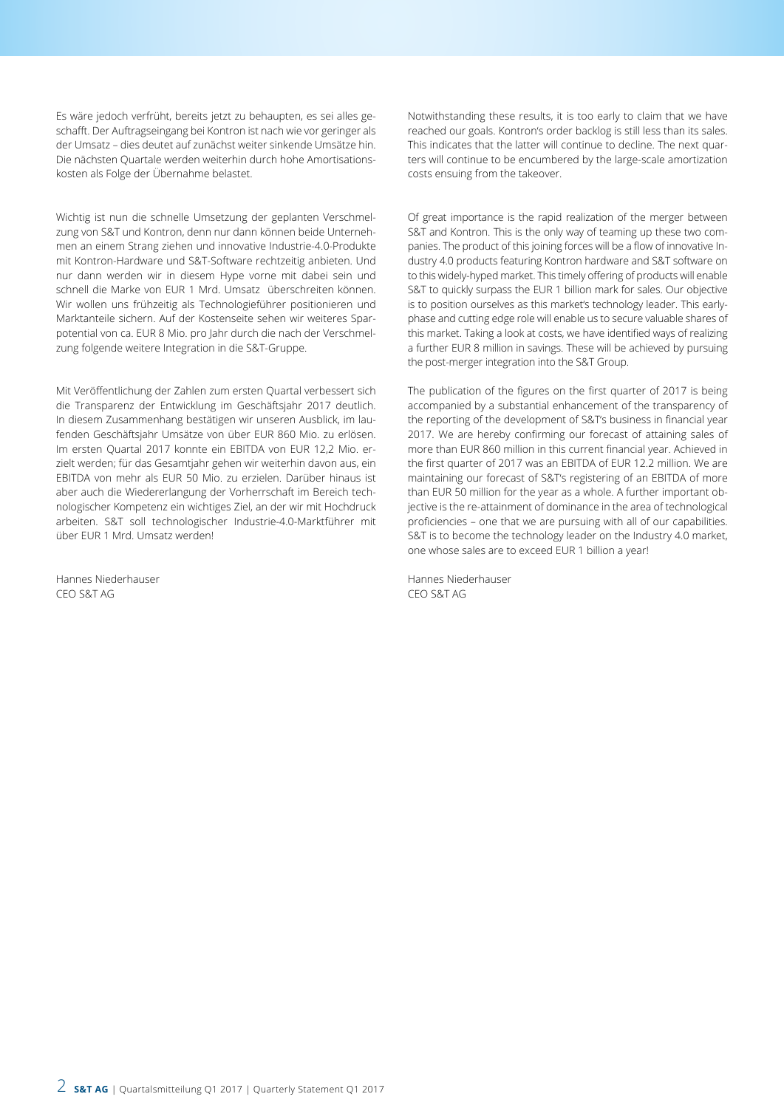Es wäre jedoch verfrüht, bereits jetzt zu behaupten, es sei alles geschafft. Der Auftragseingang bei Kontron ist nach wie vor geringer als der Umsatz – dies deutet auf zunächst weiter sinkende Umsätze hin. Die nächsten Quartale werden weiterhin durch hohe Amortisationskosten als Folge der Übernahme belastet.

Wichtig ist nun die schnelle Umsetzung der geplanten Verschmelzung von S&T und Kontron, denn nur dann können beide Unternehmen an einem Strang ziehen und innovative Industrie-4.0-Produkte mit Kontron-Hardware und S&T-Software rechtzeitig anbieten. Und nur dann werden wir in diesem Hype vorne mit dabei sein und schnell die Marke von EUR 1 Mrd. Umsatz überschreiten können. Wir wollen uns frühzeitig als Technologieführer positionieren und Marktanteile sichern. Auf der Kostenseite sehen wir weiteres Sparpotential von ca. EUR 8 Mio. pro Jahr durch die nach der Verschmelzung folgende weitere Integration in die S&T-Gruppe.

Mit Veröffentlichung der Zahlen zum ersten Quartal verbessert sich die Transparenz der Entwicklung im Geschäftsjahr 2017 deutlich. In diesem Zusammenhang bestätigen wir unseren Ausblick, im laufenden Geschäftsjahr Umsätze von über EUR 860 Mio. zu erlösen. Im ersten Quartal 2017 konnte ein EBITDA von EUR 12,2 Mio. erzielt werden; für das Gesamtjahr gehen wir weiterhin davon aus, ein EBITDA von mehr als EUR 50 Mio. zu erzielen. Darüber hinaus ist aber auch die Wiedererlangung der Vorherrschaft im Bereich technologischer Kompetenz ein wichtiges Ziel, an der wir mit Hochdruck arbeiten. S&T soll technologischer Industrie-4.0-Marktführer mit über EUR 1 Mrd. Umsatz werden!

Hannes Niederhauser CEO S&T AG

Notwithstanding these results, it is too early to claim that we have reached our goals. Kontron's order backlog is still less than its sales. This indicates that the latter will continue to decline. The next quarters will continue to be encumbered by the large-scale amortization costs ensuing from the takeover.

Of great importance is the rapid realization of the merger between S&T and Kontron. This is the only way of teaming up these two companies. The product of this joining forces will be a flow of innovative Industry 4.0 products featuring Kontron hardware and S&T software on to this widely-hyped market. This timely offering of products will enable S&T to quickly surpass the EUR 1 billion mark for sales. Our objective is to position ourselves as this market's technology leader. This earlyphase and cutting edge role will enable us to secure valuable shares of this market. Taking a look at costs, we have identified ways of realizing a further EUR 8 million in savings. These will be achieved by pursuing the post-merger integration into the S&T Group.

The publication of the figures on the first quarter of 2017 is being accompanied by a substantial enhancement of the transparency of the reporting of the development of S&T's business in financial year 2017. We are hereby confirming our forecast of attaining sales of more than EUR 860 million in this current financial year. Achieved in the first quarter of 2017 was an EBITDA of EUR 12.2 million. We are maintaining our forecast of S&T's registering of an EBITDA of more than EUR 50 million for the year as a whole. A further important objective is the re-attainment of dominance in the area of technological proficiencies – one that we are pursuing with all of our capabilities. S&T is to become the technology leader on the Industry 4.0 market, one whose sales are to exceed EUR 1 billion a year!

Hannes Niederhauser CEO S&T AG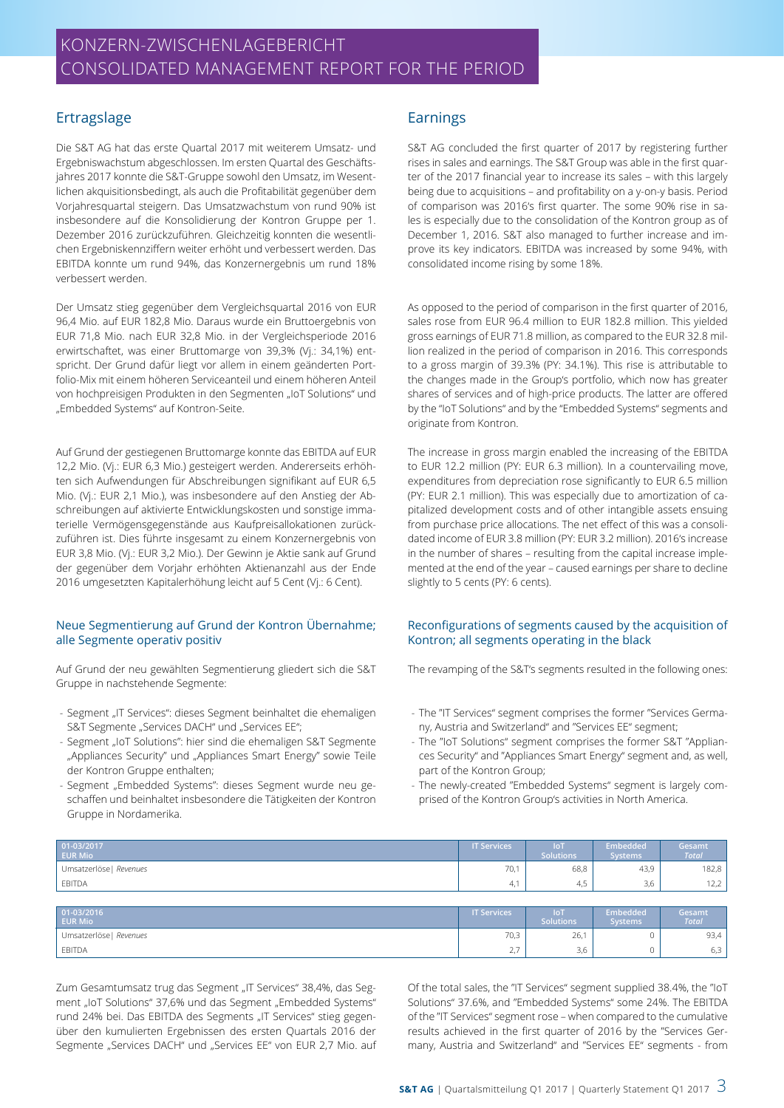# KONZERN-ZWISCHENLAGEBERICHT CONSOLIDATED MANAGEMENT REPORT FOR THE PERIOD

## Ertragslage

Die S&T AG hat das erste Quartal 2017 mit weiterem Umsatz- und Ergebniswachstum abgeschlossen. Im ersten Quartal des Geschäftsjahres 2017 konnte die S&T-Gruppe sowohl den Umsatz, im Wesentlichen akquisitionsbedingt, als auch die Profitabilität gegenüber dem Vorjahresquartal steigern. Das Umsatzwachstum von rund 90% ist insbesondere auf die Konsolidierung der Kontron Gruppe per 1. Dezember 2016 zurückzuführen. Gleichzeitig konnten die wesentlichen Ergebniskennziffern weiter erhöht und verbessert werden. Das EBITDA konnte um rund 94%, das Konzernergebnis um rund 18% verbessert werden.

Der Umsatz stieg gegenüber dem Vergleichsquartal 2016 von EUR 96,4 Mio. auf EUR 182,8 Mio. Daraus wurde ein Bruttoergebnis von EUR 71,8 Mio. nach EUR 32,8 Mio. in der Vergleichsperiode 2016 erwirtschaftet, was einer Bruttomarge von 39,3% (Vj.: 34,1%) entspricht. Der Grund dafür liegt vor allem in einem geänderten Portfolio-Mix mit einem höheren Serviceanteil und einem höheren Anteil von hochpreisigen Produkten in den Segmenten "IoT Solutions" und "Embedded Systems" auf Kontron-Seite.

Auf Grund der gestiegenen Bruttomarge konnte das EBITDA auf EUR 12,2 Mio. (Vj.: EUR 6,3 Mio.) gesteigert werden. Andererseits erhöhten sich Aufwendungen für Abschreibungen signifikant auf EUR 6,5 Mio. (Vj.: EUR 2,1 Mio.), was insbesondere auf den Anstieg der Abschreibungen auf aktivierte Entwicklungskosten und sonstige immaterielle Vermögensgegenstände aus Kaufpreisallokationen zurückzuführen ist. Dies führte insgesamt zu einem Konzernergebnis von EUR 3,8 Mio. (Vj.: EUR 3,2 Mio.). Der Gewinn je Aktie sank auf Grund der gegenüber dem Vorjahr erhöhten Aktienanzahl aus der Ende 2016 umgesetzten Kapitalerhöhung leicht auf 5 Cent (Vj.: 6 Cent).

#### Neue Segmentierung auf Grund der Kontron Übernahme; alle Segmente operativ positiv

Auf Grund der neu gewählten Segmentierung gliedert sich die S&T Gruppe in nachstehende Segmente:

- Segment "IT Services": dieses Segment beinhaltet die ehemaligen S&T Segmente "Services DACH" und "Services EE";
- Segment "IoT Solutions": hier sind die ehemaligen S&T Segmente "Appliances Security" und "Appliances Smart Energy" sowie Teile der Kontron Gruppe enthalten;
- Segment "Embedded Systems": dieses Segment wurde neu geschaffen und beinhaltet insbesondere die Tätigkeiten der Kontron Gruppe in Nordamerika.

### Earnings

S&T AG concluded the first quarter of 2017 by registering further rises in sales and earnings. The S&T Group was able in the first quarter of the 2017 financial year to increase its sales – with this largely being due to acquisitions – and profitability on a y-on-y basis. Period of comparison was 2016's first quarter. The some 90% rise in sales is especially due to the consolidation of the Kontron group as of December 1, 2016. S&T also managed to further increase and improve its key indicators. EBITDA was increased by some 94%, with consolidated income rising by some 18%.

As opposed to the period of comparison in the first quarter of 2016, sales rose from EUR 96.4 million to EUR 182.8 million. This yielded gross earnings of EUR 71.8 million, as compared to the EUR 32.8 million realized in the period of comparison in 2016. This corresponds to a gross margin of 39.3% (PY: 34.1%). This rise is attributable to the changes made in the Group's portfolio, which now has greater shares of services and of high-price products. The latter are offered by the "IoT Solutions" and by the "Embedded Systems" segments and originate from Kontron.

The increase in gross margin enabled the increasing of the EBITDA to EUR 12.2 million (PY: EUR 6.3 million). In a countervailing move, expenditures from depreciation rose significantly to EUR 6.5 million (PY: EUR 2.1 million). This was especially due to amortization of capitalized development costs and of other intangible assets ensuing from purchase price allocations. The net effect of this was a consolidated income of EUR 3.8 million (PY: EUR 3.2 million). 2016's increase in the number of shares – resulting from the capital increase implemented at the end of the year – caused earnings per share to decline slightly to 5 cents (PY: 6 cents).

#### Reconfigurations of segments caused by the acquisition of Kontron; all segments operating in the black

The revamping of the S&T's segments resulted in the following ones:

- The "IT Services" segment comprises the former "Services Germany, Austria and Switzerland" and "Services EE" segment;
- The "IoT Solutions" segment comprises the former S&T "Appliances Security" and "Appliances Smart Energy" segment and, as well, part of the Kontron Group;
- The newly-created "Embedded Systems" segment is largely comprised of the Kontron Group's activities in North America.

| 01-03/2017<br><b>EUR Mio</b> | <b>IT Services</b> | <b>IoT</b><br><b>Solutions</b> | Embedded<br><b>Systems</b> | Gesamt<br><b>Total</b> |
|------------------------------|--------------------|--------------------------------|----------------------------|------------------------|
| Umsatzerlöse   Revenues      | 70,1               | 68,8                           | 43,9                       | 182,8                  |
| <b>EBITDA</b>                | 4.1                | 4,5                            | 3,6                        | 12,2                   |
|                              |                    |                                |                            |                        |
| 01-03/2016<br><b>EUR Mio</b> | <b>IT Services</b> | <b>IoT</b><br><b>Solutions</b> | Embedded<br><b>Systems</b> | Gesamt<br><b>Total</b> |
| Umsatzerlöse   Revenues      | 70,3               | 26,1                           |                            | 93,4                   |

 $\blacksquare$ EBITDA  $\hspace{1.6cm} 2,7 \hspace{1.4cm} 3,6 \hspace{1.4cm} 0 \hspace{1.4cm} 6,3$ 

Zum Gesamtumsatz trug das Segment "IT Services" 38,4%, das Segment "IoT Solutions" 37,6% und das Segment "Embedded Systems" rund 24% bei. Das EBITDA des Segments "IT Services" stieg gegenüber den kumulierten Ergebnissen des ersten Quartals 2016 der Segmente "Services DACH" und "Services EE" von EUR 2,7 Mio. auf Of the total sales, the "IT Services" segment supplied 38.4%, the "IoT Solutions" 37.6%, and "Embedded Systems" some 24%. The EBITDA of the "IT Services" segment rose – when compared to the cumulative results achieved in the first quarter of 2016 by the "Services Germany, Austria and Switzerland" and "Services EE" segments - from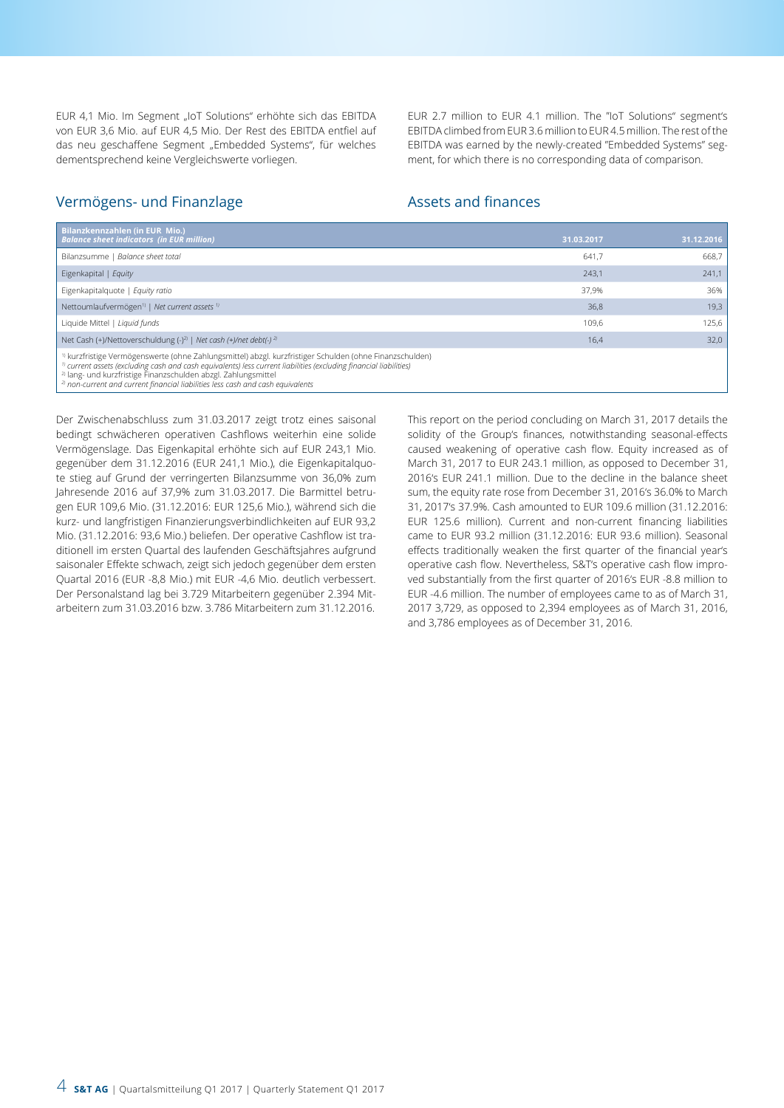EUR 4,1 Mio. Im Segment "IoT Solutions" erhöhte sich das EBITDA von EUR 3,6 Mio. auf EUR 4,5 Mio. Der Rest des EBITDA entfiel auf das neu geschaffene Segment "Embedded Systems", für welches dementsprechend keine Vergleichswerte vorliegen.

EUR 2.7 million to EUR 4.1 million. The "IoT Solutions" segment's EBITDA climbed from EUR 3.6 million to EUR 4.5 million. The rest of the EBITDA was earned by the newly-created "Embedded Systems" segment, for which there is no corresponding data of comparison.

#### Vermögens- und Finanzlage

#### Assets and finances

| Bilanzkennzahlen (in EUR Mio.)<br><b>Balance sheet indicators (in EUR million)</b>                                                                                                                                                                                                                                                                                                                                       | 31.03.2017 | 31.12.2016 |
|--------------------------------------------------------------------------------------------------------------------------------------------------------------------------------------------------------------------------------------------------------------------------------------------------------------------------------------------------------------------------------------------------------------------------|------------|------------|
| Bilanzsumme   Balance sheet total                                                                                                                                                                                                                                                                                                                                                                                        | 641.7      | 668,7      |
| Eigenkapital   Equity                                                                                                                                                                                                                                                                                                                                                                                                    | 243,1      | 241,1      |
| Eigenkapitalquote   Equity ratio                                                                                                                                                                                                                                                                                                                                                                                         | 37.9%      | 36%        |
| Nettoumlaufvermögen <sup>1)</sup>   Net current assets <sup>1)</sup>                                                                                                                                                                                                                                                                                                                                                     | 36,8       | 19,3       |
| Liquide Mittel   Liquid funds                                                                                                                                                                                                                                                                                                                                                                                            | 109.6      | 125,6      |
| Net Cash (+)/Nettoverschuldung (-) <sup>2)</sup>   Net cash (+)/net debt(-) <sup>2)</sup>                                                                                                                                                                                                                                                                                                                                | 16,4       | 32,0       |
| <sup>1)</sup> kurzfristige Vermögenswerte (ohne Zahlungsmittel) abzgl. kurzfristiger Schulden (ohne Finanzschulden)<br>$\eta$ current assets (excluding cash and cash equivalents) less current liabilities (excluding financial liabilities)<br><sup>2)</sup> lang- und kurzfristige Finanzschulden abzgl. Zahlungsmittel<br><sup>2)</sup> non-current and current financial liabilities less cash and cash equivalents |            |            |

Der Zwischenabschluss zum 31.03.2017 zeigt trotz eines saisonal bedingt schwächeren operativen Cashflows weiterhin eine solide Vermögenslage. Das Eigenkapital erhöhte sich auf EUR 243,1 Mio. gegenüber dem 31.12.2016 (EUR 241,1 Mio.), die Eigenkapitalquote stieg auf Grund der verringerten Bilanzsumme von 36,0% zum Jahresende 2016 auf 37,9% zum 31.03.2017. Die Barmittel betrugen EUR 109,6 Mio. (31.12.2016: EUR 125,6 Mio.), während sich die kurz- und langfristigen Finanzierungsverbindlichkeiten auf EUR 93,2 Mio. (31.12.2016: 93,6 Mio.) beliefen. Der operative Cashflow ist traditionell im ersten Quartal des laufenden Geschäftsjahres aufgrund saisonaler Effekte schwach, zeigt sich jedoch gegenüber dem ersten Quartal 2016 (EUR -8,8 Mio.) mit EUR -4,6 Mio. deutlich verbessert. Der Personalstand lag bei 3.729 Mitarbeitern gegenüber 2.394 Mitarbeitern zum 31.03.2016 bzw. 3.786 Mitarbeitern zum 31.12.2016.

This report on the period concluding on March 31, 2017 details the solidity of the Group's finances, notwithstanding seasonal-effects caused weakening of operative cash flow. Equity increased as of March 31, 2017 to EUR 243.1 million, as opposed to December 31, 2016's EUR 241.1 million. Due to the decline in the balance sheet sum, the equity rate rose from December 31, 2016's 36.0% to March 31, 2017's 37.9%. Cash amounted to EUR 109.6 million (31.12.2016: EUR 125.6 million). Current and non-current financing liabilities came to EUR 93.2 million (31.12.2016: EUR 93.6 million). Seasonal effects traditionally weaken the first quarter of the financial year's operative cash flow. Nevertheless, S&T's operative cash flow improved substantially from the first quarter of 2016's EUR -8.8 million to EUR -4.6 million. The number of employees came to as of March 31, 2017 3,729, as opposed to 2,394 employees as of March 31, 2016, and 3,786 employees as of December 31, 2016.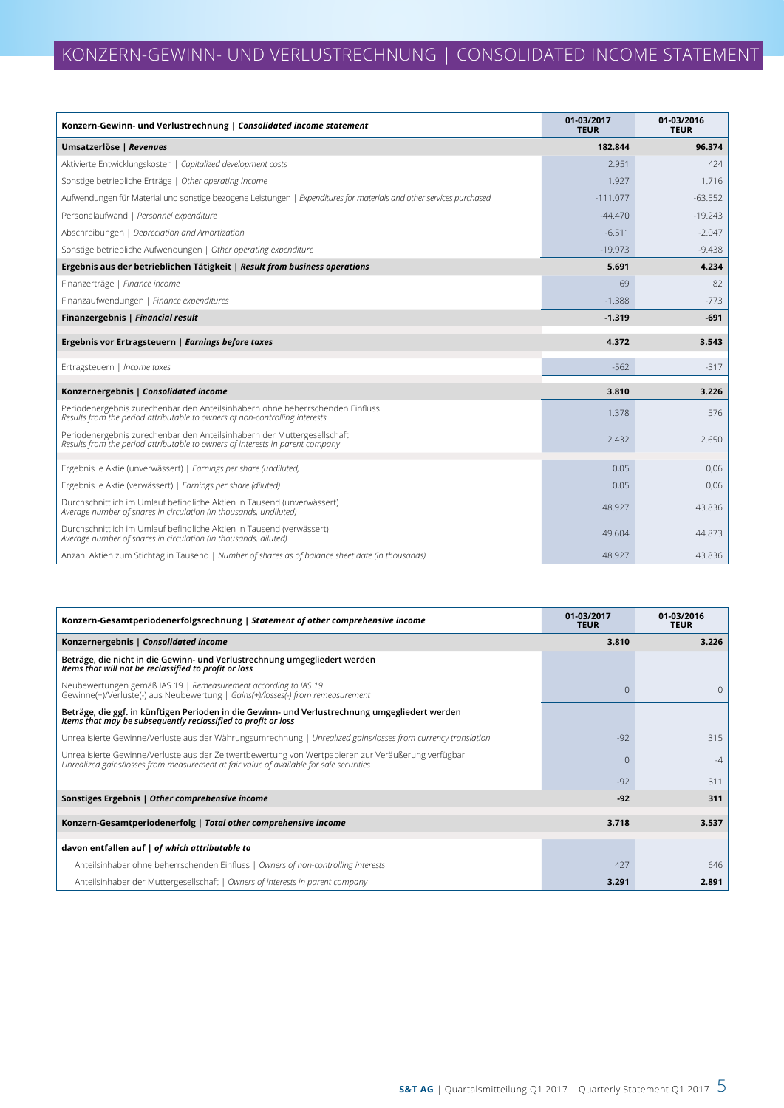| Konzern-Gewinn- und Verlustrechnung   Consolidated income statement                                                                                          | 01-03/2017<br><b>TEUR</b> | 01-03/2016<br><b>TEUR</b> |
|--------------------------------------------------------------------------------------------------------------------------------------------------------------|---------------------------|---------------------------|
| Umsatzerlöse   Revenues                                                                                                                                      | 182.844                   | 96.374                    |
| Aktivierte Entwicklungskosten   Capitalized development costs                                                                                                | 2.951                     | 424                       |
| Sonstige betriebliche Erträge   Other operating income                                                                                                       | 1.927                     | 1.716                     |
| Aufwendungen für Material und sonstige bezogene Leistungen   Expenditures for materials and other services purchased                                         | $-111.077$                | $-63.552$                 |
| Personalaufwand   Personnel expenditure                                                                                                                      | $-44.470$                 | $-19.243$                 |
| Abschreibungen   Depreciation and Amortization                                                                                                               | $-6.511$                  | $-2.047$                  |
| Sonstige betriebliche Aufwendungen   Other operating expenditure                                                                                             | $-19.973$                 | $-9.438$                  |
| Ergebnis aus der betrieblichen Tätigkeit   Result from business operations                                                                                   | 5.691                     | 4.234                     |
| Finanzerträge   Finance income                                                                                                                               | 69                        | 82                        |
| Finanzaufwendungen   Finance expenditures                                                                                                                    | $-1.388$                  | $-773$                    |
| Finanzergebnis   Financial result                                                                                                                            | $-1.319$                  | $-691$                    |
| Ergebnis vor Ertragsteuern   Earnings before taxes                                                                                                           | 4.372                     | 3.543                     |
| Ertragsteuern   Income taxes                                                                                                                                 | $-562$                    | $-317$                    |
| Konzernergebnis   Consolidated income                                                                                                                        | 3.810                     | 3.226                     |
| Periodenergebnis zurechenbar den Anteilsinhabern ohne beherrschenden Einfluss<br>Results from the period attributable to owners of non-controlling interests | 1.378                     | 576                       |
| Periodenergebnis zurechenbar den Anteilsinhabern der Muttergesellschaft<br>Results from the period attributable to owners of interests in parent company     | 2.432                     | 2.650                     |
| Ergebnis je Aktie (unverwässert)   Earnings per share (undiluted)                                                                                            | 0.05                      | 0.06                      |
| Ergebnis je Aktie (verwässert)   Earnings per share (diluted)                                                                                                | 0.05                      | 0,06                      |
| Durchschnittlich im Umlauf befindliche Aktien in Tausend (unverwässert)<br>Average number of shares in circulation (in thousands, undiluted)                 | 48.927                    | 43.836                    |
| Durchschnittlich im Umlauf befindliche Aktien in Tausend (verwässert)<br>Average number of shares in circulation (in thousands, diluted)                     | 49.604                    | 44.873                    |
| Anzahl Aktien zum Stichtag in Tausend   Number of shares as of balance sheet date (in thousands)                                                             | 48.927                    | 43.836                    |

| Konzern-Gesamtperiodenerfolgsrechnung   Statement of other comprehensive income                                                                                                                | 01-03/2017<br><b>TEUR</b> | 01-03/2016<br><b>TEUR</b> |
|------------------------------------------------------------------------------------------------------------------------------------------------------------------------------------------------|---------------------------|---------------------------|
| Konzernergebnis   Consolidated income                                                                                                                                                          | 3.810                     | 3.226                     |
| Beträge, die nicht in die Gewinn- und Verlustrechnung umgegliedert werden<br>Items that will not be reclassified to profit or loss                                                             |                           |                           |
| Neubewertungen gemäß IAS 19   Remeasurement according to IAS 19<br>Gewinne(+)/Verluste(-) aus Neubewertung   Gains(+)/losses(-) from remeasurement                                             | $\Omega$                  | $\mathbf{0}$              |
| Beträge, die ggf. in künftigen Perioden in die Gewinn- und Verlustrechnung umgegliedert werden<br>Items that may be subsequently reclassified to profit or loss                                |                           |                           |
| Unrealisierte Gewinne/Verluste aus der Währungsumrechnung   Unrealized gains/losses from currency translation                                                                                  | $-92$                     | 315                       |
| Unrealisierte Gewinne/Verluste aus der Zeitwertbewertung von Wertpapieren zur Veräußerung verfügbar<br>Unrealized gains/losses from measurement at fair value of available for sale securities | $\Omega$                  | $-4$                      |
|                                                                                                                                                                                                | $-92$                     | 311                       |
| Sonstiges Ergebnis   Other comprehensive income                                                                                                                                                | $-92$                     | 311                       |
| Konzern-Gesamtperiodenerfolg   Total other comprehensive income                                                                                                                                | 3.718                     | 3.537                     |
| davon entfallen auf   of which attributable to                                                                                                                                                 |                           |                           |
| Anteilsinhaber ohne beherrschenden Einfluss   Owners of non-controlling interests                                                                                                              | 427                       | 646                       |
| Anteilsinhaber der Muttergesellschaft   Owners of interests in parent company                                                                                                                  | 3.291                     | 2.891                     |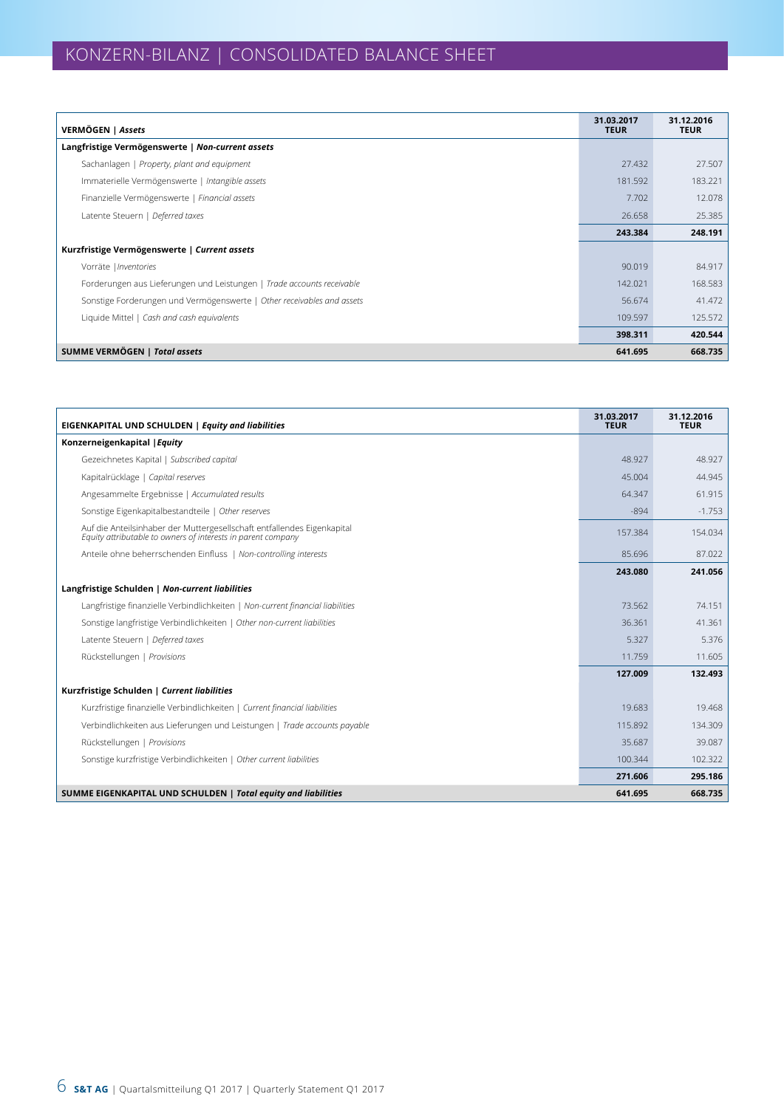| VERMÖGEN   Assets                                                      | 31.03.2017<br><b>TEUR</b> | 31.12.2016<br><b>TEUR</b> |
|------------------------------------------------------------------------|---------------------------|---------------------------|
| Langfristige Vermögenswerte   Non-current assets                       |                           |                           |
| Sachanlagen   Property, plant and equipment                            | 27.432                    | 27.507                    |
| Immaterielle Vermögenswerte   Intangible assets                        | 181.592                   | 183.221                   |
| Finanzielle Vermögenswerte   Financial assets                          | 7.702                     | 12.078                    |
| Latente Steuern   Deferred taxes                                       | 26.658                    | 25.385                    |
|                                                                        | 243.384                   | 248.191                   |
| Kurzfristige Vermögenswerte   Current assets                           |                           |                           |
| Vorräte   Inventories                                                  | 90.019                    | 84.917                    |
| Forderungen aus Lieferungen und Leistungen   Trade accounts receivable | 142.021                   | 168.583                   |
| Sonstige Forderungen und Vermögenswerte   Other receivables and assets | 56.674                    | 41.472                    |
| Liquide Mittel   Cash and cash equivalents                             | 109.597                   | 125.572                   |
|                                                                        | 398.311                   | 420.544                   |
| <b>SUMME VERMÖGEN   Total assets</b>                                   | 641.695                   | 668.735                   |

| <b>EIGENKAPITAL UND SCHULDEN   Equity and liabilities</b>                                                                               | 31.03.2017<br><b>TEUR</b> | 31.12.2016<br><b>TEUR</b> |
|-----------------------------------------------------------------------------------------------------------------------------------------|---------------------------|---------------------------|
| Konzerneigenkapital   Equity                                                                                                            |                           |                           |
| Gezeichnetes Kapital   Subscribed capital                                                                                               | 48.927                    | 48.927                    |
| Kapitalrücklage   Capital reserves                                                                                                      | 45.004                    | 44.945                    |
| Angesammelte Ergebnisse   Accumulated results                                                                                           | 64.347                    | 61.915                    |
| Sonstige Eigenkapitalbestandteile   Other reserves                                                                                      | $-894$                    | $-1.753$                  |
| Auf die Anteilsinhaber der Muttergesellschaft entfallendes Eigenkapital<br>Equity attributable to owners of interests in parent company | 157.384                   | 154.034                   |
| Anteile ohne beherrschenden Einfluss   Non-controlling interests                                                                        | 85.696                    | 87.022                    |
|                                                                                                                                         | 243.080                   | 241.056                   |
| Langfristige Schulden   Non-current liabilities                                                                                         |                           |                           |
| Langfristige finanzielle Verbindlichkeiten   Non-current financial liabilities                                                          | 73.562                    | 74.151                    |
| Sonstige langfristige Verbindlichkeiten   Other non-current liabilities                                                                 | 36.361                    | 41.361                    |
| Latente Steuern   Deferred taxes                                                                                                        | 5.327                     | 5.376                     |
| Rückstellungen   Provisions                                                                                                             | 11.759                    | 11.605                    |
|                                                                                                                                         | 127.009                   | 132.493                   |
| Kurzfristige Schulden   Current liabilities                                                                                             |                           |                           |
| Kurzfristige finanzielle Verbindlichkeiten   Current financial liabilities                                                              | 19.683                    | 19.468                    |
| Verbindlichkeiten aus Lieferungen und Leistungen   Trade accounts payable                                                               | 115.892                   | 134.309                   |
| Rückstellungen   Provisions                                                                                                             | 35.687                    | 39.087                    |
| Sonstige kurzfristige Verbindlichkeiten   Other current liabilities                                                                     | 100.344                   | 102.322                   |
|                                                                                                                                         | 271.606                   | 295.186                   |
| SUMME EIGENKAPITAL UND SCHULDEN   Total equity and liabilities                                                                          | 641.695                   | 668.735                   |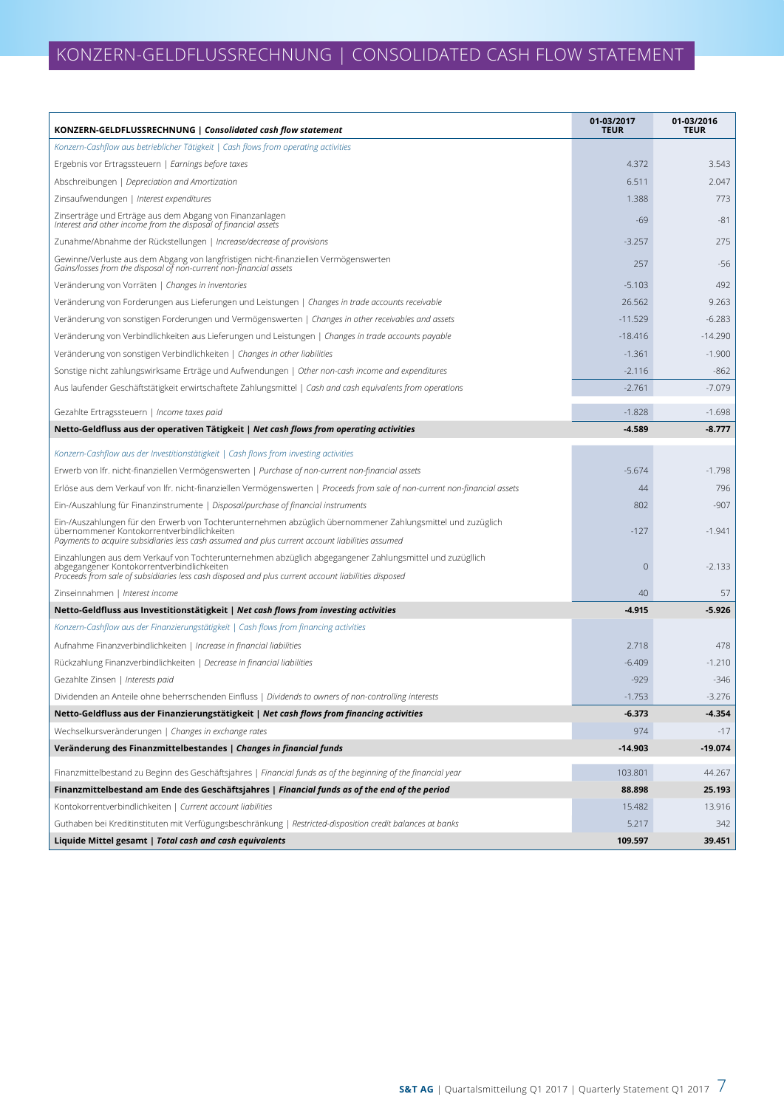| KONZERN-GELDFLUSSRECHNUNG   Consolidated cash flow statement                                                                                                                                                                                                  | 01-03/2017<br><b>TEUR</b> | 01-03/2016<br><b>TEUR</b> |
|---------------------------------------------------------------------------------------------------------------------------------------------------------------------------------------------------------------------------------------------------------------|---------------------------|---------------------------|
| Konzern-Cashflow aus betrieblicher Tätigkeit   Cash flows from operating activities                                                                                                                                                                           |                           |                           |
| Ergebnis vor Ertragssteuern   Earnings before taxes                                                                                                                                                                                                           | 4.372                     | 3.543                     |
| Abschreibungen   Depreciation and Amortization                                                                                                                                                                                                                | 6.511                     | 2.047                     |
| Zinsaufwendungen   Interest expenditures                                                                                                                                                                                                                      | 1.388                     | 773                       |
| Zinserträge und Erträge aus dem Abgang von Finanzanlagen<br>Interest and other income from the disposal of financial assets                                                                                                                                   | $-69$                     | $-81$                     |
| Zunahme/Abnahme der Rückstellungen   Increase/decrease of provisions                                                                                                                                                                                          | $-3.257$                  | 275                       |
| Gewinne/Verluste aus dem Abgang von langfristigen nicht-finanziellen Vermögenswerten<br>Gains/losses from the disposal of non-current non-financial assets                                                                                                    | 257                       | $-56$                     |
| Veränderung von Vorräten   Changes in inventories                                                                                                                                                                                                             | $-5.103$                  | 492                       |
| Veränderung von Forderungen aus Lieferungen und Leistungen   Changes in trade accounts receivable                                                                                                                                                             | 26.562                    | 9.263                     |
| Veränderung von sonstigen Forderungen und Vermögenswerten   Changes in other receivables and assets                                                                                                                                                           | $-11.529$                 | $-6.283$                  |
| Veränderung von Verbindlichkeiten aus Lieferungen und Leistungen   Changes in trade accounts payable                                                                                                                                                          | $-18.416$                 | $-14.290$                 |
| Veränderung von sonstigen Verbindlichkeiten   Changes in other liabilities                                                                                                                                                                                    | $-1.361$                  | $-1.900$                  |
| Sonstige nicht zahlungswirksame Erträge und Aufwendungen   Other non-cash income and expenditures                                                                                                                                                             | $-2.116$                  | $-862$                    |
| Aus laufender Geschäftstätigkeit erwirtschaftete Zahlungsmittel   Cash and cash equivalents from operations                                                                                                                                                   | $-2.761$                  | $-7.079$                  |
| Gezahlte Ertragssteuern   Income taxes paid                                                                                                                                                                                                                   | $-1.828$                  | $-1.698$                  |
| Netto-Geldfluss aus der operativen Tätigkeit   Net cash flows from operating activities                                                                                                                                                                       | $-4.589$                  | $-8.777$                  |
| Konzern-Cashflow aus der Investitionstätigkeit   Cash flows from investing activities                                                                                                                                                                         |                           |                           |
| Erwerb von Ifr. nicht-finanziellen Vermögenswerten   Purchase of non-current non-financial assets                                                                                                                                                             | $-5.674$                  | $-1.798$                  |
| Erlöse aus dem Verkauf von Ifr. nicht-finanziellen Vermögenswerten   Proceeds from sale of non-current non-financial assets                                                                                                                                   | 44                        | 796                       |
| Ein-/Auszahlung für Finanzinstrumente   Disposal/purchase of financial instruments                                                                                                                                                                            | 802                       | $-907$                    |
| Ein-/Auszahlungen für den Erwerb von Tochterunternehmen abzüglich übernommener Zahlungsmittel und zuzüglich<br>übernommener Kontokorrentverbindlichkeiten<br>Payments to acquire subsidiaries less cash assumed and plus current account liabilities assumed  | -127                      | $-1.941$                  |
| Einzahlungen aus dem Verkauf von Tochterunternehmen abzüglich abgegangener Zahlungsmittel und zuzügllich<br>abgegangener Kontokorrentverbindlichkeiten<br>Proceeds from sale of subsidiaries less cash disposed and plus current account liabilities disposed | $\overline{0}$            | $-2.133$                  |
| Zinseinnahmen   Interest income                                                                                                                                                                                                                               | 40                        | 57                        |
| Netto-Geldfluss aus Investitionstätigkeit   Net cash flows from investing activities                                                                                                                                                                          | -4.915                    | $-5.926$                  |
| Konzern-Cashflow aus der Finanzierungstätigkeit   Cash flows from financing activities                                                                                                                                                                        |                           |                           |
| Aufnahme Finanzverbindlichkeiten   Increase in financial liabilities                                                                                                                                                                                          | 2.718                     | 478                       |
| Rückzahlung Finanzverbindlichkeiten   Decrease in financial liabilities                                                                                                                                                                                       | $-6.409$                  | $-1.210$                  |
| Gezahlte Zinsen   Interests paid                                                                                                                                                                                                                              | -929                      | $-346$                    |
| Dividenden an Anteile ohne beherrschenden Einfluss   Dividends to owners of non-controlling interests                                                                                                                                                         | $-1.753$                  | $-3.276$                  |
| Netto-Geldfluss aus der Finanzierungstätigkeit   Net cash flows from financing activities                                                                                                                                                                     | $-6.373$                  | $-4.354$                  |
| Wechselkursveränderungen   Changes in exchange rates                                                                                                                                                                                                          | 974                       | $-17$                     |
| Veränderung des Finanzmittelbestandes   Changes in financial funds                                                                                                                                                                                            | $-14.903$                 | $-19.074$                 |
|                                                                                                                                                                                                                                                               |                           |                           |
| Finanzmittelbestand zu Beginn des Geschäftsjahres   Financial funds as of the beginning of the financial year                                                                                                                                                 | 103.801                   | 44.267                    |
| Finanzmittelbestand am Ende des Geschäftsjahres   Financial funds as of the end of the period                                                                                                                                                                 | 88.898                    | 25.193                    |
| Kontokorrentverbindlichkeiten   Current account liabilities                                                                                                                                                                                                   | 15.482                    | 13.916                    |
| Guthaben bei Kreditinstituten mit Verfügungsbeschränkung   Restricted-disposition credit balances at banks                                                                                                                                                    | 5.217                     | 342                       |
| Liquide Mittel gesamt   Total cash and cash equivalents                                                                                                                                                                                                       | 109.597                   | 39.451                    |